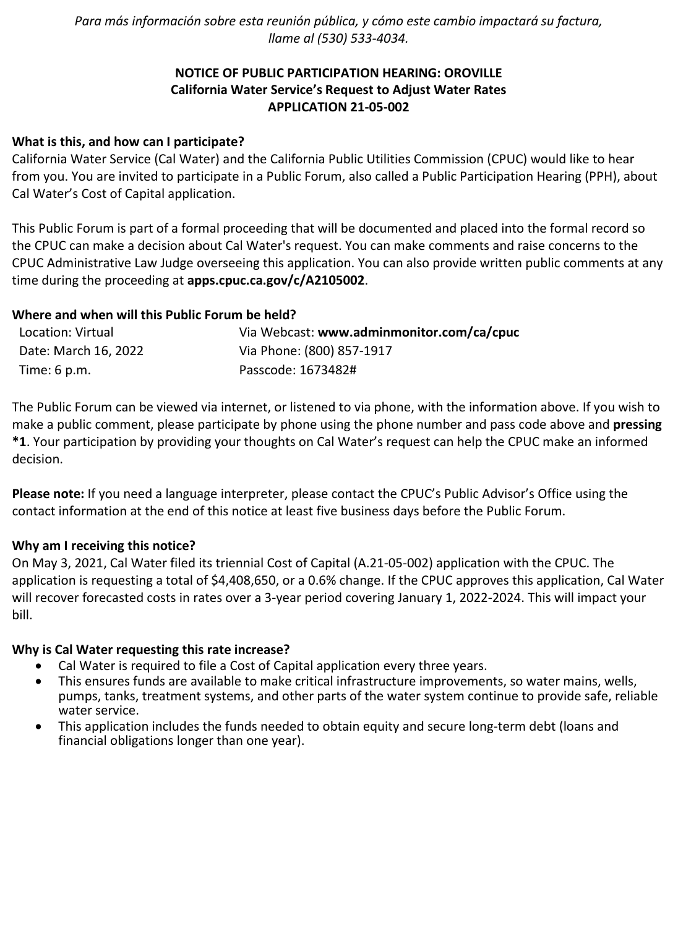*Para más información sobre esta reunión pública, y cómo este cambio impactará su factura, llame al (530) 533-4034.*

# **NOTICE OF PUBLIC PARTICIPATION HEARING: OROVILLE California Water Service's Request to Adjust Water Rates APPLICATION 21-05-002**

### **What is this, and how can I participate?**

California Water Service (Cal Water) and the California Public Utilities Commission (CPUC) would like to hear from you. You are invited to participate in a Public Forum, also called a Public Participation Hearing (PPH), about Cal Water's Cost of Capital application.

This Public Forum is part of a formal proceeding that will be documented and placed into the formal record so the CPUC can make a decision about Cal Water's request. You can make comments and raise concerns to the CPUC Administrative Law Judge overseeing this application. You can also provide written public comments at any time during the proceeding at **[apps.cpuc.ca.gov/c/A2105002](https://apps.cpuc.ca.gov/apex/f?p=401:65:0::NO:RP,57,RIR:P5_PROCEEDING_SELECT:A2105002)**.

### **Where and when will this Public Forum be held?**

| Location: Virtual    | Via Webcast: www.adminmonitor.com/ca/cpuc |
|----------------------|-------------------------------------------|
| Date: March 16, 2022 | Via Phone: (800) 857-1917                 |
| Time: 6 p.m.         | Passcode: 1673482#                        |

The Public Forum can be viewed via internet, or listened to via phone, with the information above. If you wish to make a public comment, please participate by phone using the phone number and pass code above and **pressing \*1**. Your participation by providing your thoughts on Cal Water's request can help the CPUC make an informed decision.

**Please note:** If you need a language interpreter, please contact the CPUC's Public Advisor's Office using the contact information at the end of this notice at least five business days before the Public Forum.

#### **Why am I receiving this notice?**

On May 3, 2021, Cal Water filed its triennial Cost of Capital (A.21-05-002) application with the CPUC. The application is requesting a total of \$4,408,650, or a 0.6% change. If the CPUC approves this application, Cal Water will recover forecasted costs in rates over a 3-year period covering January 1, 2022-2024. This will impact your bill.

#### **Why is Cal Water requesting this rate increase?**

- Cal Water is required to file a Cost of Capital application every three years.
- This ensures funds are available to make critical infrastructure improvements, so water mains, wells, pumps, tanks, treatment systems, and other parts of the water system continue to provide safe, reliable water service.
- This application includes the funds needed to obtain equity and secure long-term debt (loans and financial obligations longer than one year).